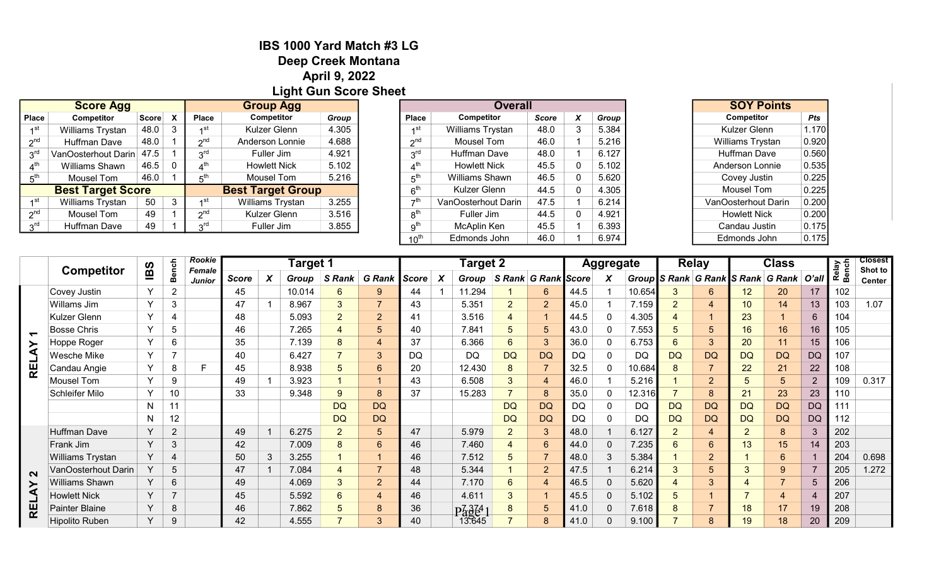## IBS 1000 Yard Match #3 LG Deep Creek Montana April 9, 2022 Light Gun Score Sheet

|                 | <b>Score Agg</b>         |                          |                           | <b>Group Agg</b>       |                          |       |  |  |  |
|-----------------|--------------------------|--------------------------|---------------------------|------------------------|--------------------------|-------|--|--|--|
| <b>Place</b>    | Competitor               | Score                    | $\boldsymbol{\mathsf{x}}$ | <b>Place</b>           | <b>Competitor</b>        | Group |  |  |  |
| ⊿st             | Williams Trystan         | 48.0                     |                           | ⊿st                    | Kulzer Glenn             | 4.305 |  |  |  |
| 2 <sub>nd</sub> | Huffman Dave             | 48.0                     |                           | $\gamma$ nd            | Anderson Lonnie          | 4.688 |  |  |  |
| $3^{\text{rd}}$ | VanOosterhout Darin 47.5 |                          |                           | $3^{\text{rd}}$        | Fuller Jim               | 4.921 |  |  |  |
|                 | Williams Shawn           | 46.5                     |                           | $4^{\text{th}}$        | <b>Howlett Nick</b>      | 5.102 |  |  |  |
| հ™              | Mousel Tom               | 46.0                     |                           | 5 <sup>th</sup>        | Mousel Tom               | 5.216 |  |  |  |
|                 |                          | <b>Best Target Score</b> |                           |                        | <b>Best Target Group</b> |       |  |  |  |
| ⊿st             | Williams Trystan         | 50                       | 3                         | ⊿st                    | Williams Trystan         | 3.255 |  |  |  |
| 2 <sup>nd</sup> | Mousel Tom               | 49                       |                           | $\gamma$ <sup>nd</sup> | Kulzer Glenn             | 3.516 |  |  |  |
| rdي             | Huffman Dave             | 49                       |                           | $\mathsf{h}$ rd        | Fuller Jim               | 3.855 |  |  |  |
|                 |                          |                          |                           |                        |                          |       |  |  |  |

| <b>Group Agg</b>    |       |                             | <b>Overall</b>      | <b>SOY Points</b> |   |       |                     |       |
|---------------------|-------|-----------------------------|---------------------|-------------------|---|-------|---------------------|-------|
| <b>Competitor</b>   | Group | <b>Place</b>                | <b>Competitor</b>   | Score             | X | Group | <b>Competitor</b>   | Pts   |
| Kulzer Glenn        | 4.305 | ⊿st                         | Williams Trystan    | 48.0              | 3 | 5.384 | Kulzer Glenn        | 1.170 |
| Anderson Lonnie     | 4.688 | 2 <sup>nd</sup>             | Mousel Tom          | 46.0              |   | 5.216 | Williams Trystan    | 0.920 |
| Fuller Jim          | 4.921 | 3 <sup>rd</sup>             | Huffman Dave        | 48.0              |   | 6.127 | Huffman Dave        | 0.560 |
| <b>Howlett Nick</b> | 5.102 | 4 <sup>th</sup>             | <b>Howlett Nick</b> | 45.5              | 0 | 5.102 | Anderson Lonnie     | 0.535 |
| Mousel Tom          | 5.216 | 5 <sup>th</sup>             | Williams Shawn      | 46.5              | 0 | 5.620 | Covey Justin        | 0.225 |
| st Target Group     |       | 6 <sup>th</sup>             | Kulzer Glenn        | 44.5              | 0 | 4.305 | Mousel Tom          | 0.225 |
| Williams Trystan    | 3.255 | $\rightarrow$ <sup>th</sup> | VanOosterhout Darin | 47.5              |   | 6.214 | VanOosterhout Darin | 0.200 |
| Kulzer Glenn        | 3.516 | 8 <sup>th</sup>             | Fuller Jim          | 44.5              | 0 | 4.921 | <b>Howlett Nick</b> | 0.200 |
| Fuller Jim          | 3.855 | 9 <sup>th</sup>             | McAplin Ken         | 45.5              |   | 6.393 | Candau Justin       | 0.175 |
|                     |       | $10^{\text{th}}$            | Edmonds John        | 46.0              |   | 6.974 | Edmonds John        | 0.175 |

| <b>SOY Points</b>   |       |
|---------------------|-------|
| <b>Competitor</b>   | Pts   |
| Kulzer Glenn        | 1.17( |
| Williams Trystan    | 0.920 |
| Huffman Dave        | 0.560 |
| Anderson Lonnie     | 0.535 |
| Covey Justin        | 0.225 |
| <b>Mousel Tom</b>   | 0.225 |
| VanOosterhout Darin | 0.200 |
| <b>Howlett Nick</b> | 0.200 |
| Candau Justin       | 0.175 |
| Edmonds John        | 0.175 |

|                                   | <b>Competitor</b>     |              |                | <b>Rookie</b><br><b>Female</b> | Target 1     |   |        |                          |                  |       | <b>Target 2</b> |                        |                     |                          |           | <b>Aggregate</b> |           |                 | <b>Relay</b>    | <b>Class</b>   |                                         | Relay<br>Bench | <b>Closest</b> |                   |
|-----------------------------------|-----------------------|--------------|----------------|--------------------------------|--------------|---|--------|--------------------------|------------------|-------|-----------------|------------------------|---------------------|--------------------------|-----------|------------------|-----------|-----------------|-----------------|----------------|-----------------------------------------|----------------|----------------|-------------------|
|                                   |                       | <b>IBS</b>   | <b>Bench</b>   | <b>Junior</b>                  | <b>Score</b> | X | Group  | S Rank                   | <b>G</b> Rank    | Score | X               | Group                  | S Rank G Rank Score |                          |           | X                |           |                 |                 |                | Group S Rank G Rank S Rank G Rank O'all |                |                | Shot to<br>Center |
|                                   | Covey Justin          | $\vee$       | $\overline{2}$ |                                | 45           |   | 10.014 | 6                        | 9                | 44    |                 | 11.294                 |                     | 6                        | 44.5      |                  | 10.654    | 3               | 6               | 12             | 20                                      | 17             | 102            |                   |
|                                   | Willams Jim           | Y            | 3              |                                | 47           |   | 8.967  | 3                        | $\overline{7}$   | 43    |                 | 5.351                  | $\overline{2}$      | $\overline{2}$           | 45.0      |                  | 7.159     | $\overline{2}$  | 4               | 10             | 14                                      | 13             | 103            | 1.07              |
|                                   | Kulzer Glenn          | $\vee$       | 4              |                                | 48           |   | 5.093  | $\overline{2}$           | $\overline{2}$   | 41    |                 | 3.516                  |                     |                          | 44.5      | $\Omega$         | 4.305     | $\overline{4}$  |                 | 23             |                                         | 6              | 104            |                   |
| $\overline{\phantom{0}}$          | <b>Bosse Chris</b>    | Y            | 5              |                                | 46           |   | 7.265  | 4                        | $\overline{5}$   | 40    |                 | 7.841                  | 5                   | 5                        | 43.0      | 0                | 7.553     | $\overline{5}$  | $5\overline{)}$ | 16             | 16                                      | 16             | 105            |                   |
| ਟੇ                                | Hoppe Roger           | $\checkmark$ | 6              |                                | 35           |   | 7.139  | 8                        | $\overline{4}$   | 37    |                 | 6.366                  | $6^{\circ}$         | 3                        | 36.0      | 0                | 6.753     | $6\overline{6}$ | 3               | 20             | 11                                      | 15             | 106            |                   |
|                                   | Wesche Mike           | Y            | $\overline{7}$ |                                | 40           |   | 6.427  | $\overline{\phantom{a}}$ | $\mathbf{3}$     | DQ    |                 | DQ                     | <b>DQ</b>           | <b>DQ</b>                | DQ        | 0                | <b>DQ</b> | <b>DQ</b>       | <b>DQ</b>       | <b>DQ</b>      | <b>DQ</b>                               | <b>DQ</b>      | 107            |                   |
| 烂                                 | Candau Angie          | $\checkmark$ | 8              |                                | 45           |   | 8.938  | 5                        | $6\phantom{1}6$  | 20    |                 | 12.430                 | 8                   |                          | 32.5      | $\Omega$         | 10.684    | 8               | $\overline{7}$  | 22             | 21                                      | 22             | 108            |                   |
|                                   | Mousel Tom            | $\vee$       | 9              |                                | 49           |   | 3.923  |                          |                  | 43    |                 | 6.508                  | 3 <sup>1</sup>      | 4                        | 46.0      |                  | 5.216     |                 | $\overline{2}$  | 5              | 5                                       | $\overline{2}$ | 109            | 0.317             |
|                                   | Schleifer Milo        | Y            | 10             |                                | 33           |   | 9.348  | 9                        | 8                | 37    |                 | 15.283                 |                     | 8                        | 35.0      | $\mathbf 0$      | 12.316    | $\overline{7}$  | 8               | 21             | 23                                      | 23             | 110            |                   |
|                                   |                       | N            | 11             |                                |              |   |        | <b>DQ</b>                | <b>DQ</b>        |       |                 |                        | <b>DQ</b>           | <b>DQ</b>                | DQ        | 0                | DQ        | <b>DQ</b>       | <b>DQ</b>       | <b>DQ</b>      | <b>DQ</b>                               | <b>DQ</b>      | 111            |                   |
|                                   |                       | N            | 12             |                                |              |   |        | <b>DQ</b>                | <b>DQ</b>        |       |                 |                        | <b>DQ</b>           | <b>DQ</b>                | <b>DQ</b> | $\Omega$         | <b>DQ</b> | <b>DQ</b>       | <b>DQ</b>       | <b>DQ</b>      | <b>DQ</b>                               | <b>DQ</b>      | 112            |                   |
|                                   | <b>Huffman Dave</b>   |              | $\overline{2}$ |                                | 49           |   | 6.275  | $\overline{2}$           | 5                | 47    |                 | 5.979                  | $\overline{2}$      | 3                        | 48.0      |                  | 6.127     | $\overline{2}$  | 4               | $\overline{2}$ | 8                                       | 3              | 202            |                   |
|                                   | Frank Jim             | Y            | $\mathfrak{S}$ |                                | 42           |   | 7.009  | 8                        | $6\phantom{1}$   | 46    |                 | 7.460                  | 4                   | $6^{\circ}$              | 44.0      | $\mathbf 0$      | 7.235     | $6\phantom{1}$  | $6\phantom{1}$  | 13             | 15                                      | 14             | 203            |                   |
|                                   | Williams Trystan      |              | $\overline{4}$ |                                | 50           | 3 | 3.255  |                          |                  | 46    |                 | 7.512                  | 5                   | $\overline{\phantom{a}}$ | 48.0      | 3                | 5.384     |                 | 2               |                | $6\phantom{1}$                          |                | 204            | 0.698             |
| $\sim$                            | VanOosterhout Darin   |              | 5              |                                | 47           |   | 7.084  | 4                        | 7                | 48    |                 | 5.344                  |                     | $\overline{2}$           | 47.5      |                  | 6.214     | 3               | 5               | 3              | 9                                       |                | 205            | 1.272             |
| $\boldsymbol{\breve{\mathsf{z}}}$ | <b>Williams Shawn</b> | Y            | 6              |                                | 49           |   | 4.069  | 3                        | $\overline{2}$   | 44    |                 | 7.170                  | $6 \overline{6}$    | 4                        | 46.5      | $\mathbf 0$      | 5.620     | $\overline{4}$  | 3               | 4              | $\overline{7}$                          | 5              | 206            |                   |
|                                   | <b>Howlett Nick</b>   |              | $\overline{7}$ |                                | 45           |   | 5.592  | $6^{\circ}$              | $\overline{4}$   | 46    |                 | 4.611                  | 3 <sup>1</sup>      |                          | 45.5      | $\mathbf{0}$     | 5.102     | $5\overline{)}$ |                 | $\overline{7}$ | 4                                       | 4              | 207            |                   |
| 운                                 | Painter Blaine        |              | 8              |                                | 46           |   | 7.862  | 5                        | $\boldsymbol{8}$ | 36    |                 | $P\alpha\beta\delta^4$ | 8                   | 5                        | 41.0      | $\mathbf 0$      | 7.618     | 8               | $\overline{7}$  | 18             | 17                                      | 19             | 208            |                   |
|                                   | <b>Hipolito Ruben</b> | v            | 9              |                                | 42           |   | 4.555  |                          | 3                |       |                 | 13.645                 |                     | 8                        | 41.0      | $\mathbf 0$      | 9.100     |                 | 8               | 19             | 18                                      | 20             | 209            |                   |